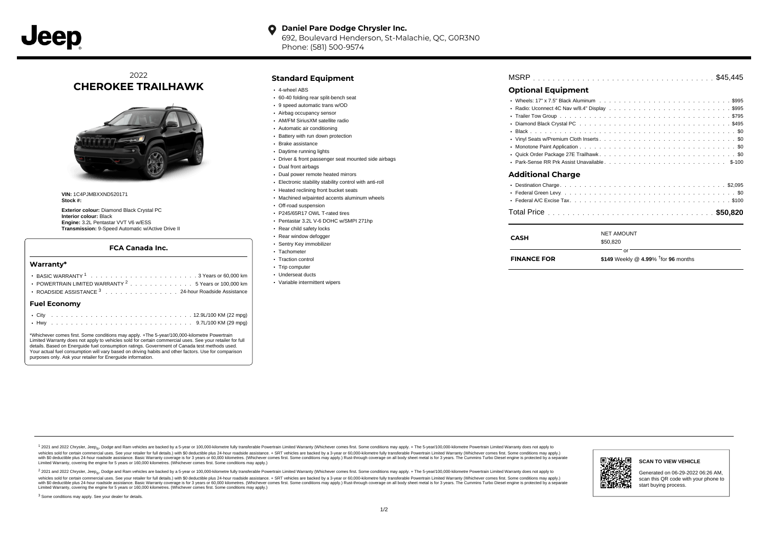#### $\bullet$ **Daniel Pare Dodge Chrysler Inc.**

692, Boulevard Henderson, St-Malachie, QC, G0R3N0 Phone: (581) 500-9574

# 2022 **CHEROKEE TRAILHAWK**



**VIN:** 1C4PJMBXXND520171 **Stock #:**

**Exterior colour:** Diamond Black Crystal PC **Interior colour:** Black **Engine:** 3.2L Pentastar VVT V6 w/ESS **Transmission:** 9-Speed Automatic w/Active Drive II

### **FCA Canada Inc.**

#### **Warranty\***

| $F(1)$ $F(0)$ |                                                                                        |  |  |  |  |  |  |
|---------------|----------------------------------------------------------------------------------------|--|--|--|--|--|--|
|               | • ROADSIDE ASSISTANCE 3 24-hour Roadside Assistance                                    |  |  |  |  |  |  |
|               | POWERTRAIN LIMITED WARRANTY $2, \ldots, \ldots, \ldots, \ldots, 5$ Years or 100.000 km |  |  |  |  |  |  |
|               |                                                                                        |  |  |  |  |  |  |
|               |                                                                                        |  |  |  |  |  |  |

#### **Fuel Economy**

\*Whichever comes first. Some conditions may apply. +The 5-year/100,000-kilometre Powertrain Limited Warranty does not apply to vehicles sold for certain commercial uses. See your retailer for full details. Based on Energuide fuel consumption ratings. Government of Canada test methods used. Your actual fuel consumption will vary based on driving habits and other factors. Use for comparison purposes only. Ask your retailer for Energuide information.

## **Standard Equipment**

- 4-wheel ABS
- 60-40 folding rear split-bench seat
- 9 speed automatic trans w/OD
- Airbag occupancy sensor
- AM/FM SiriusXM satellite radio
- Automatic air conditioning
- Battery with run down protection
- Brake assistance
- Daytime running lights
- Driver & front passenger seat mounted side airbags
- Dual front airbags
- Dual power remote heated mirrors
- Electronic stability stability control with anti-roll
- Heated reclining front bucket seats
- Machined w/painted accents aluminum wheels
- Off-road suspension
- P245/65R17 OWL T-rated tires
- Pentastar 3.2L V-6 DOHC w/SMPI 271hp
- Rear child safety locks
- Rear window defogger Sentry Key immobilizer
- · Tachometer
- Traction control
- Trip computer
- Underseat ducts
- Variable intermittent wipers

# . . . . . . . . . . . . . . . . . . . . . . . . . . . . . . . . . . . . . . . . . . . . . . MSRP \$45,445

# **Optional Equipment**

| Additional Charge |  |
|-------------------|--|
|                   |  |
|                   |  |
|                   |  |
|                   |  |

# . . . . . . . . . . . . . . . . . . . . . . . . . . . . . . . . . . . . . . . . . . . . . . Total Price **\$50,820**

| CASH               | <b>NET AMOUNT</b><br>\$50,820                 |  |  |  |  |  |  |  |
|--------------------|-----------------------------------------------|--|--|--|--|--|--|--|
| <b>FINANCE FOR</b> | nr.<br>\$149 Weekly @ 4.99% $†$ for 96 months |  |  |  |  |  |  |  |

1 2021 and 2022 Chrysler, Jeep<sub>en</sub> Dodge and Ram vehicles are backed by a 5-year or 100,000-kilometre fully transferable Powertrain Limited Warranty (Whichever comes first. Some conditions may apply. + The 5-year/100,000-k rebicles sold for certain commercial uses. See your retailer for full details) with S0 deductible plus 24-hour madside assistance. + SRT vehicles are backed by a 3-year or 60.000-kilometre fully transferable Powertrain Lim ventals and contract when the contract when the contract you contract when the contract when the control of the set of a set of a set of a set of 3 years of 60,000 kilometres. Whichever comes first. Some conditions may app Limited Warranty, covering the engine for 5 years or 160,000 kilometres. (Whichever comes first. Some conditions may apply.)

2 2021 and 2022 Chrysler, Jeep<sub>es</sub> Dodge and Ram vehicles are backed by a 5-year or 100,000-kilometre fully transferable Powertrain Limited Warranty (Whichever comes first. Some conditions may apply. + The 5-year/100,000-k vehicles sold for certain commercial uses. See your retailer for full details.) with SO deductible plus 24-hour roadside assistance. + SRT vehicles are backed by a 3-year or 60.000-kilometre fully transferable Powertrain L with S0 deductible plus 24-hour roadside assistance. Basic Warranty coverage is for 3 years or 60,000 kilometres. (Whichever comes first. Some conditions may apply.) Rust-through coverage on all body sheet metal is for 3 y



### **SCAN TO VIEW VEHICLE**

Generated on 06-29-2022 06:26 AM, scan this QR code with your phone to start buying process.

<sup>3</sup> Some conditions may apply. See your dealer for details.